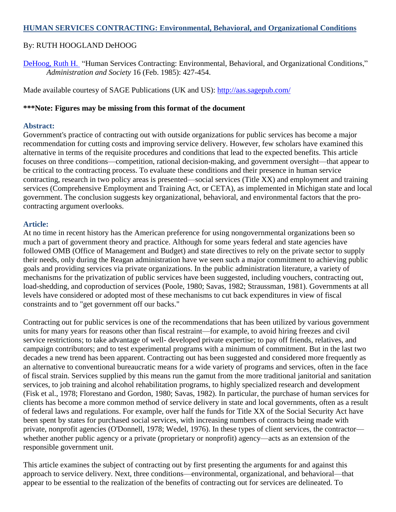#### **HUMAN SERVICES CONTRACTING: Environmental, Behavioral, and Organizational Conditions**

#### By: RUTH HOOGLAND DeHOOG

[DeHoog, Ruth H.](http://libres.uncg.edu/ir/uncg/clist.aspx?id=214) "Human Services Contracting: Environmental, Behavioral, and Organizational Conditions," *Administration and Society* 16 (Feb. 1985): 427-454.

Made available courtesy of SAGE Publications (UK and US):<http://aas.sagepub.com/>

#### **\*\*\*Note: Figures may be missing from this format of the document**

#### **Abstract:**

Government's practice of contracting out with outside organizations for public services has become a major recommendation for cutting costs and improving service delivery. However, few scholars have examined this alternative in terms of the requisite procedures and conditions that lead to the expected benefits. This article focuses on three conditions—competition, rational decision-making, and government oversight—that appear to be critical to the contracting process. To evaluate these conditions and their presence in human service contracting, research in two policy areas is presented—social services (Title XX) and employment and training services (Comprehensive Employment and Training Act, or CETA), as implemented in Michigan state and local government. The conclusion suggests key organizational, behavioral, and environmental factors that the procontracting argument overlooks.

#### **Article:**

At no time in recent history has the American preference for using nongovernmental organizations been so much a part of government theory and practice. Although for some years federal and state agencies have followed OMB (Office of Management and Budget) and state directives to rely on the private sector to supply their needs, only during the Reagan administration have we seen such a major commitment to achieving public goals and providing services via private organizations. In the public administration literature, a variety of mechanisms for the privatization of public services have been suggested, including vouchers, contracting out, load-shedding, and coproduction of services (Poole, 1980; Savas, 1982; Straussman, 1981). Governments at all levels have considered or adopted most of these mechanisms to cut back expenditures in view of fiscal constraints and to "get government off our backs."

Contracting out for public services is one of the recommendations that has been utilized by various government units for many years for reasons other than fiscal restraint—for example, to avoid hiring freezes and civil service restrictions; to take advantage of well- developed private expertise; to pay off friends, relatives, and campaign contributors; and to test experimental programs with a minimum of commitment. But in the last two decades a new trend has been apparent. Contracting out has been suggested and considered more frequently as an alternative to conventional bureaucratic means for a wide variety of programs and services, often in the face of fiscal strain. Services supplied by this means run the gamut from the more traditional janitorial and sanitation services, to job training and alcohol rehabilitation programs, to highly specialized research and development (Fisk et al., 1978; Florestano and Gordon, 1980; Savas, 1982). In particular, the purchase of human services for clients has become a more common method of service delivery in state and local governments, often as a result of federal laws and regulations. For example, over half the funds for Title XX of the Social Security Act have been spent by states for purchased social services, with increasing numbers of contracts being made with private, nonprofit agencies (O'Donnell, 1978; Wedel, 1976). In these types of client services, the contractor whether another public agency or a private (proprietary or nonprofit) agency—acts as an extension of the responsible government unit.

This article examines the subject of contracting out by first presenting the arguments for and against this approach to service delivery. Next, three conditions—environmental, organizational, and behavioral—that appear to be essential to the realization of the benefits of contracting out for services are delineated. To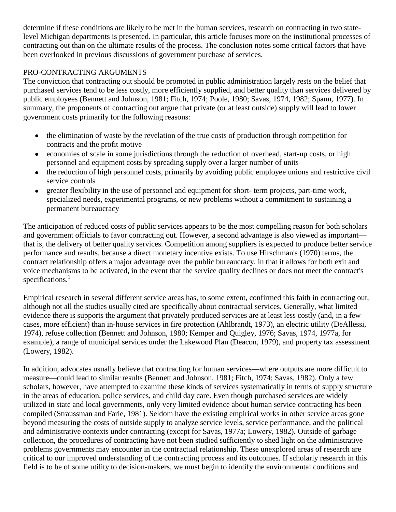determine if these conditions are likely to be met in the human services, research on contracting in two statelevel Michigan departments is presented. In particular, this article focuses more on the institutional processes of contracting out than on the ultimate results of the process. The conclusion notes some critical factors that have been overlooked in previous discussions of government purchase of services.

# PRO-CONTRACTING ARGUMENTS

The conviction that contracting out should be promoted in public administration largely rests on the belief that purchased services tend to be less costly, more efficiently supplied, and better quality than services delivered by public employees (Bennett and Johnson, 1981; Fitch, 1974; Poole, 1980; Savas, 1974, 1982; Spann, 1977). In summary, the proponents of contracting out argue that private (or at least outside) supply will lead to lower government costs primarily for the following reasons:

- the elimination of waste by the revelation of the true costs of production through competition for  $\bullet$ contracts and the profit motive
- economies of scale in some jurisdictions through the reduction of overhead, start-up costs, or high  $\bullet$ personnel and equipment costs by spreading supply over a larger number of units
- the reduction of high personnel costs, primarily by avoiding public employee unions and restrictive civil service controls
- greater flexibility in the use of personnel and equipment for short- term projects, part-time work, specialized needs, experimental programs, or new problems without a commitment to sustaining a permanent bureaucracy

The anticipation of reduced costs of public services appears to be the most compelling reason for both scholars and government officials to favor contracting out. However, a second advantage is also viewed as important that is, the delivery of better quality services. Competition among suppliers is expected to produce better service performance and results, because a direct monetary incentive exists. To use Hirschman's (1970) terms, the contract relationship offers a major advantage over the public bureaucracy, in that it allows for both exit and voice mechanisms to be activated, in the event that the service quality declines or does not meet the contract's specifications. $<sup>1</sup>$ </sup>

Empirical research in several different service areas has, to some extent, confirmed this faith in contracting out, although not all the studies usually cited are specifically about contractual services. Generally, what limited evidence there is supports the argument that privately produced services are at least less costly (and, in a few cases, more efficient) than in-house services in fire protection (Ahlbrandt, 1973), an electric utility (DeAllessi, 1974), refuse collection (Bennett and Johnson, 1980; Kemper and Quigley, 1976; Savas, 1974, 1977a, for example), a range of municipal services under the Lakewood Plan (Deacon, 1979), and property tax assessment (Lowery, 1982).

In addition, advocates usually believe that contracting for human services—where outputs are more difficult to measure—could lead to similar results (Bennett and Johnson, 1981; Fitch, 1974; Savas, 1982). Only a few scholars, however, have attempted to examine these kinds of services systematically in terms of supply structure in the areas of education, police services, and child day care. Even though purchased services are widely utilized in state and local governments, only very limited evidence about human service contracting has been compiled (Straussman and Farie, 1981). Seldom have the existing empirical works in other service areas gone beyond measuring the costs of outside supply to analyze service levels, service performance, and the political and administrative contexts under contracting (except for Savas, 1977a; Lowery, 1982). Outside of garbage collection, the procedures of contracting have not been studied sufficiently to shed light on the administrative problems governments may encounter in the contractual relationship. These unexplored areas of research are critical to our improved understanding of the contracting process and its outcomes. If scholarly research in this field is to be of some utility to decision-makers, we must begin to identify the environmental conditions and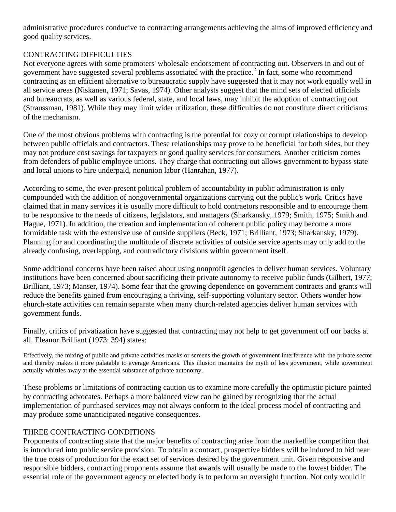administrative procedures conducive to contracting arrangements achieving the aims of improved efficiency and good quality services.

# CONTRACTING DIFFICULTIES

Not everyone agrees with some promoters' wholesale endorsement of contracting out. Observers in and out of government have suggested several problems associated with the practice.<sup>2</sup> In fact, some who recommend contracting as an efficient alternative to bureaucratic supply have suggested that it may not work equally well in all service areas (Niskanen, 1971; Savas, 1974). Other analysts suggest that the mind sets of elected officials and bureaucrats, as well as various federal, state, and local laws, may inhibit the adoption of contracting out (Straussman, 1981). While they may limit wider utilization, these difficulties do not constitute direct criticisms of the mechanism.

One of the most obvious problems with contracting is the potential for cozy or corrupt relationships to develop between public officials and contractors. These relationships may prove to be beneficial for both sides, but they may not produce cost savings for taxpayers or good quality services for consumers. Another criticism comes from defenders of public employee unions. They charge that contracting out allows government to bypass state and local unions to hire underpaid, nonunion labor (Hanrahan, 1977).

According to some, the ever-present political problem of accountability in public administration is only compounded with the addition of nongovernmental organizations carrying out the public's work. Critics have claimed that in many services it is usually more difficult to hold contraetors responsible and to encourage them to be responsive to the needs of citizens, legislators, and managers (Sharkansky, 1979; Smith, 1975; Smith and Hague, 1971). In addition, the creation and implementation of coherent public policy may become a more formidable task with the extensive use of outside suppliers (Beck, 1971; Brilliant, 1973; Sharkansky, 1979). Planning for and coordinating the multitude of discrete activities of outside service agents may only add to the already confusing, overlapping, and contradictory divisions within government itself.

Some additional concerns have been raised about using nonprofit agencies to deliver human services. Voluntary institutions have been concerned about sacrificing their private autonomy to receive public funds (Gilbert, 1977; Brilliant, 1973; Manser, 1974). Some fear that the growing dependence on government contracts and grants will reduce the benefits gained from encouraging a thriving, self-supporting voluntary sector. Others wonder how ehurch-state activities can remain separate when many church-related agencies deliver human services with government funds.

Finally, critics of privatization have suggested that contracting may not help to get government off our backs at all. Eleanor Brilliant (1973: 394) states:

Effectively, the mixing of public and private activities masks or screens the growth of government interference with the private sector and thereby makes it more palatable to average Americans. This illusion maintains the myth of less government, while government actually whittles away at the essential substance of private autonomy.

These problems or limitations of contracting caution us to examine more carefully the optimistic picture painted by contracting advocates. Perhaps a more balanced view can be gained by recognizing that the actual implementation of purchased services may not always conform to the ideal process model of contracting and may produce some unanticipated negative consequences.

## THREE CONTRACTING CONDITIONS

Proponents of contracting state that the major benefits of contracting arise from the marketlike competition that is introduced into public service provision. To obtain a contract, prospective bidders will be induced to bid near the true costs of production for the exact set of services desired by the government unit. Given responsive and responsible bidders, contracting proponents assume that awards will usually be made to the lowest bidder. The essential role of the government agency or elected body is to perform an oversight function. Not only would it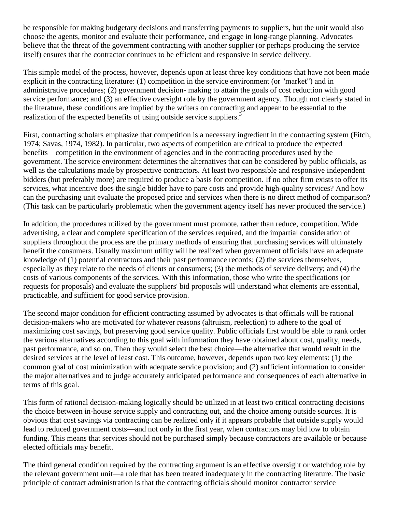be responsible for making budgetary decisions and transferring payments to suppliers, but the unit would also choose the agents, monitor and evaluate their performance, and engage in long-range planning. Advocates believe that the threat of the government contracting with another supplier (or perhaps producing the service itself) ensures that the contractor continues to be efficient and responsive in service delivery.

This simple model of the process, however, depends upon at least three key conditions that have not been made explicit in the contracting literature: (1) competition in the service environment (or "market") and in administrative procedures; (2) government decision- making to attain the goals of cost reduction with good service performance; and (3) an effective oversight role by the government agency. Though not clearly stated in the literature, these conditions are implied by the writers on contracting and appear to be essential to the realization of the expected benefits of using outside service suppliers.<sup>3</sup>

First, contracting scholars emphasize that competition is a necessary ingredient in the contracting system (Fitch, 1974; Savas, 1974, 1982). In particular, two aspects of competition are critical to produce the expected benefits—competition in the environment of agencies and in the contracting procedures used by the government. The service environment determines the alternatives that can be considered by public officials, as well as the calculations made by prospective contractors. At least two responsible and responsive independent bidders (but preferably more) are required to produce a basis for competition. If no other firm exists to offer its services, what incentive does the single bidder have to pare costs and provide high-quality services? And how can the purchasing unit evaluate the proposed price and services when there is no direct method of comparison? (This task can be particularly problematic when the government agency itself has never produced the service.)

In addition, the procedures utilized by the government must promote, rather than reduce, competition. Wide advertising, a clear and complete specification of the services required, and the impartial consideration of suppliers throughout the process are the primary methods of ensuring that purchasing services will ultimately benefit the consumers. Usually maximum utility will be realized when government officials have an adequate knowledge of (1) potential contractors and their past performance records; (2) the services themselves, especially as they relate to the needs of clients or consumers; (3) the methods of service delivery; and (4) the costs of various components of the services. With this information, those who write the specifications (or requests for proposals) and evaluate the suppliers' bid proposals will understand what elements are essential, practicable, and sufficient for good service provision.

The second major condition for efficient contracting assumed by advocates is that officials will be rational decision-makers who are motivated for whatever reasons (altruism, reelection) to adhere to the goal of maximizing cost savings, but preserving good service quality. Public officials first would be able to rank order the various alternatives according to this goal with information they have obtained about cost, quality, needs, past performance, and so on. Then they would select the best choice—the alternative that would result in the desired services at the level of least cost. This outcome, however, depends upon two key elements: (1) the common goal of cost minimization with adequate service provision; and (2) sufficient information to consider the major alternatives and to judge accurately anticipated performance and consequences of each alternative in terms of this goal.

This form of rational decision-making logically should be utilized in at least two critical contracting decisions the choice between in-house service supply and contracting out, and the choice among outside sources. It is obvious that cost savings via contracting can be realized only if it appears probable that outside supply would lead to reduced government costs—and not only in the first year, when contractors may bid low to obtain funding. This means that services should not be purchased simply because contractors are available or because elected officials may benefit.

The third general condition required by the contracting argument is an effective oversight or watchdog role by the relevant government unit—a role that has been treated inadequately in the contracting literature. The basic principle of contract administration is that the contracting officials should monitor contractor service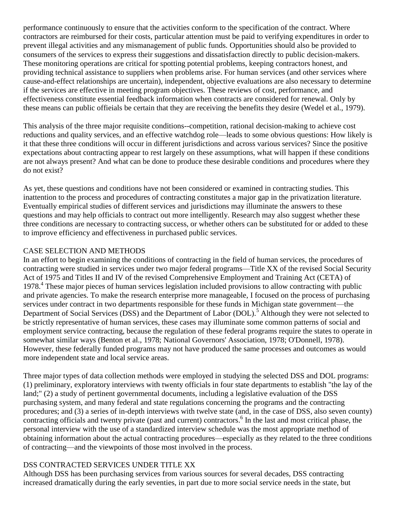performance continuously to ensure that the activities conform to the specification of the contract. Where contractors are reimbursed for their costs, particular attention must be paid to verifying expenditures in order to prevent illegal activities and any mismanagement of public funds. Opportunities should also be provided to consumers of the services to express their suggestions and dissatisfaction directly to public decision-makers. These monitoring operations are critical for spotting potential problems, keeping contractors honest, and providing technical assistance to suppliers when problems arise. For human services (and other services where cause-and-effect relationships are uncertain), independent, objective evaluations are also necessary to determine if the services are effective in meeting program objectives. These reviews of cost, performance, and effectiveness constitute essential feedback information when contracts are considered for renewal. Only by these means can public offieials be certain that they are receiving the benefits they desire (Wedel et al., 1979).

This analysis of the three major requisite conditions--competition, rational decision-making to achieve cost reductions and quality services, and an effective watchdog role—leads to some obvious questions: How likely is it that these three conditions will occur in different jurisdictions and across various services? Since the positive expectations about contracting appear to rest largely on these assumptions, what will happen if these conditions are not always present? And what can be done to produce these desirable conditions and procedures where they do not exist?

As yet, these questions and conditions have not been considered or examined in contracting studies. This inattention to the process and procedures of contracting constitutes a major gap in the privatization literature. Eventually empirical studies of different services and jurisdictions may illuminate the answers to these questions and may help officials to contract out more intelligently. Research may also suggest whether these three conditions are necessary to contracting success, or whether others can be substituted for or added to these to improve efficiency and effectiveness in purchased public services.

## CASE SELECTION AND METHODS

In an effort to begin examining the conditions of contracting in the field of human services, the procedures of contracting were studied in services under two major federal programs—Title XX of the revised Social Security Act of 1975 and Titles II and IV of the revised Comprehensive Employment and Training Act (CETA) of 1978.<sup>4</sup> These major pieces of human services legislation included provisions to allow contracting with public and private agencies. To make the research enterprise more manageable, I focused on the process of purchasing services under contract in two departments responsible for these funds in Michigan state government—the Department of Social Services (DSS) and the Department of Labor (DOL).<sup>5</sup> Although they were not selected to be strictly representative of human services, these cases may illuminate some common patterns of social and employment service contracting, because the regulation of these federal programs require the states to operate in somewhat similar ways (Benton et al., 1978; National Governors' Association, 1978; O'Donnell, 1978). However, these federally funded programs may not have produced the same processes and outcomes as would more independent state and local service areas.

Three major types of data collection methods were employed in studying the selected DSS and DOL programs: (1) preliminary, exploratory interviews with twenty officials in four state departments to establish "the lay of the land;" (2) a study of pertinent governmental documents, including a legislative evaluation of the DSS purchasing system, and many federal and state regulations concerning the programs and the contracting procedures; and (3) a series of in-depth interviews with twelve state (and, in the case of DSS, also seven county) contracting officials and twenty private (past and current) contractors.<sup>6</sup> In the last and most critical phase, the personal interview with the use of a standardized interview schedule was the most appropriate method of obtaining information about the actual contracting procedures—especially as they related to the three conditions of contracting—and the viewpoints of those most involved in the process.

## DSS CONTRACTED SERVICES UNDER TITLE XX

Although DSS has been purchasing services from various sources for several decades, DSS contracting increased dramatically during the early seventies, in part due to more social service needs in the state, but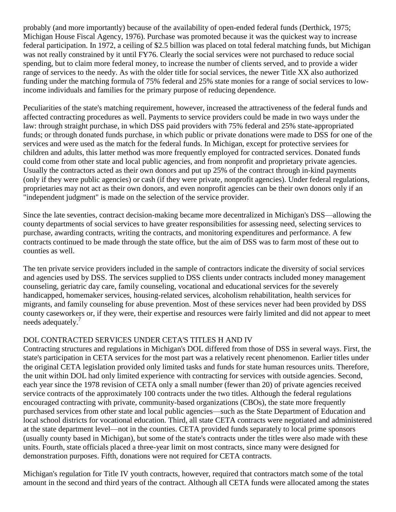probably (and more importantly) because of the availability of open-ended federal funds (Derthick, 1975; Michigan House Fiscal Agency, 1976). Purchase was promoted because it was the quickest way to increase federal participation. In 1972, a ceiling of \$2.5 billion was placed on total federal matching funds, but Michigan was not really constrained by it until FY76. Clearly the social services were not purchased to reduce social spending, but to claim more federal money, to increase the number of clients served, and to provide a wider range of services to the needy. As with the older title for social services, the newer Title XX also authorized funding under the matching formula of 75% federal and 25% state monies for a range of social services to lowincome individuals and families for the primary purpose of reducing dependence.

Peculiarities of the state's matching requirement, however, increased the attractiveness of the federal funds and affected contracting procedures as well. Payments to service providers could be made in two ways under the law: through straight purchase, in which DSS paid providers with 75% federal and 25% state-appropriated funds; or through donated funds purchase, in which public or private donations were made to DSS for one of the services and were used as the match for the federal funds. In Michigan, except for protective serviees for children and adults, this latter method was more frequently employed for contracted services. Donated funds could come from other state and local public agencies, and from nonprofit and proprietary private agencies. Usually the contractors acted as their own donors and put up 25% of the contract through in-kind payments (only if they were public agencies) or cash (if they were private, nonprofit agencies). Under federal regulations, proprietaries may not act as their own donors, and even nonprofit agencies can be their own donors only if an "independent judgment" is made on the selection of the service provider.

Since the late seventies, contract decision-making became more decentralized in Michigan's DSS—allowing the county departments of social services to have greater responsibilities for assessing need, selecting services to purchase, awarding contracts, writing the contracts, and monitoring expenditures and performance. A few contracts continued to be made through the state office, but the aim of DSS was to farm most of these out to counties as well.

The ten private service providers included in the sample of contractors indicate the diversity of social services and agencies used by DSS. The services supplied to DSS clients under contracts included money management counseling, geriatric day care, family counseling, vocational and educational services for the severely handicapped, homemaker services, housing-related services, alcoholism rehabilitation, health services for migrants, and family counseling for abuse prevention. Most of these services never had been provided by DSS county caseworkers or, if they were, their expertise and resources were fairly limited and did not appear to meet needs adequately.<sup>7</sup>

## DOL CONTRACTED SERVICES UNDER CETA'S TITLES H AND IV

Contracting structures and regulations in Michigan's DOL differed from those of DSS in several ways. First, the state's participation in CETA services for the most part was a relatively recent phenomenon. Earlier titles under the original CETA legislation provided only limited tasks and funds for state human resources units. Therefore, the unit within DOL had only limited experience with contracting for services with outside agencies. Second, each year since the 1978 revision of CETA only a small number (fewer than 20) of private agencies received service contracts of the approximately 100 contracts under the two titles. Although the federal regulations encouraged contracting with private, community-based organizations (CBOs), the state more frequently purchased services from other state and local public agencies—such as the State Department of Education and local school districts for vocational education. Third, all state CETA contracts were negotiated and administered at the state department level—not in the counties. CETA provided funds separately to local prime sponsors (usually county based in Michigan), but some of the state's contracts under the titles were also made with these units. Fourth, state officials placed a three-year limit on most contracts, since many were designed for demonstration purposes. Fifth, donations were not required for CETA contracts.

Michigan's regulation for Title IV youth contracts, however, required that contractors match some of the total amount in the second and third years of the contract. Although all CETA funds were allocated among the states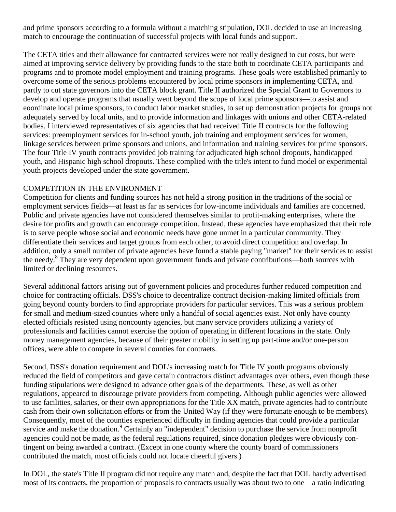and prime sponsors according to a formula without a matching stipulation, DOL decided to use an increasing match to encourage the continuation of successful projects with local funds and support.

The CETA titles and their allowance for contracted services were not really designed to cut costs, but were aimed at improving service delivery by providing funds to the state both to coordinate CETA participants and programs and to promote model employment and training programs. These goals were established primarily to overcome some of the serious problems encountered by local prime sponsors in implementing CETA, and partly to cut state governors into the CETA block grant. Title II authorized the Special Grant to Governors to develop and operate programs that usually went beyond the scope of local prime sponsors—to assist and eoordinate local prime sponsors, to conduct labor market studies, to set up demonstration projects for groups not adequately served by local units, and to provide information and linkages with unions and other CETA-related bodies. I interviewed representatives of six agencies that had received Title II contracts for the following services: preemployment services for in-school youth, job training and employment services for women, linkage services between prime sponsors and unions, and information and training services for prime sponsors. The four Title IV youth contracts provided job training for adjudicated high school dropouts, handicapped youth, and Hispanic high school dropouts. These complied with the title's intent to fund model or experimental youth projects developed under the state government.

## COMPETITION IN THE ENVIRONMENT

Competition for clients and funding sources has not held a strong position in the traditions of the social or employment services fields—at least as far as services for low-income individuals and families are concerned. Public and private agencies have not considered themselves similar to profit-making enterprises, where the desire for profits and growth can encourage competition. Instead, these agencies have emphasized that their role is to serve people whose social and economic needs have gone unmet in a particular community. They differentiate their services and target groups from each other, to avoid direct competition and overlap. In addition, only a small number of private agencies have found a stable paying "market" for their services to assist the needy.<sup>8</sup> They are very dependent upon government funds and private contributions—both sources with limited or declining resources.

Several additional factors arising out of government policies and procedures further reduced competition and choice for contracting officials. DSS's choice to decentralize contract decision-making limited officials from going beyond county borders to find appropriate providers for particular services. This was a serious problem for small and medium-sized counties where only a handful of social agencies exist. Not only have county elected officials resisted using noncounty agencies, but many service providers utilizing a variety of professionals and facilities cannot exercise the option of operating in different locations in the state. Only money management agencies, because of their greater mobility in setting up part-time and/or one-person offices, were able to compete in several counties for contraets.

Second, DSS's donation requirement and DOL's increasing match for Title IV youth programs obviously reduced the field of competitors and gave certain contractors distinct advantages over others, even though these funding stipulations were designed to advance other goals of the departments. These, as well as other regulations, appeared to discourage private providers from competing. Although public agencies were allowed to use facilities, salaries, or their own appropriations for the Title XX match, private agencies had to contribute cash from their own solicitation efforts or from the United Way (if they were fortunate enough to be members). Consequently, most of the counties experienced difficulty in finding agencies that could provide a particular service and make the donation.<sup>9</sup> Certainly an "independent" decision to purchase the service from nonprofit agencies could not be made, as the federal regulations required, since donation pledges were obviously contingent on being awarded a contract. (Except in one county where the county board of commissioners contributed the match, most officials could not locate cheerful givers.)

In DOL, the state's Title II program did not require any match and, despite the fact that DOL hardly advertised most of its contracts, the proportion of proposals to contracts usually was about two to one—a ratio indicating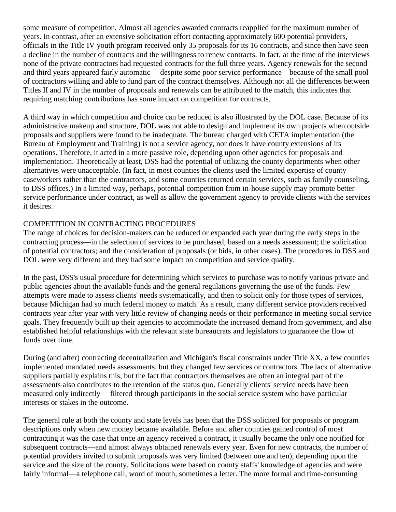some measure of competition. Almost all agencies awarded contracts reapplied for the maximum number of years. In contrast, after an extensive solicitation effort contacting approximately 600 potential providers, officials in the Title IV youth program received only 35 proposals for its 16 contracts, and since then have seen a decline in the number of contracts and the willingness to renew contracts. In fact, at the time of the interviews none of the private contractors had requested contracts for the full three years. Agency renewals for the second and third years appeared fairly automatic— despite some poor service performance—because of the small pool of contractors willing and able to fund part of the contract themselves. Although not all the differences between Titles II and IV in the number of proposals and renewals can be attributed to the match, this indicates that requiring matching contributions has some impact on competition for contracts.

A third way in which competition and choice can be reduced is also illustrated by the DOL case. Because of its administrative makeup and structure, DOL was not able to design and implement its own projects when outside proposals and suppliers were found to be inadequate. The bureau charged with CETA implementation (the Bureau of Employment and Training) is not a service agency, nor does it have county extensions of its operations. Therefore, it acted in a more passive role, depending upon other agencies for proposals and implementation. Theoretically at least, DSS had the potential of utilizing the county departments when other alternatives were unacceptable. (In fact, in most counties the clients used the limited expertise of county caseworkers rather than the contractors, and some counties returned certain services, such as family counseling, to DSS offices.) In a limited way, perhaps, potential competition from in-house supply may promote better service performance under contract, as well as allow the government agency to provide clients with the services it desires.

# COMPETITION IN CONTRACTING PROCEDURES

The range of choices for decision-makers can be reduced or expanded each year during the early steps in the contracting process—in the selection of services to be purchased, based on a needs assessment; the solicitation of potential contractors; and the consideration of proposals (or bids, in other cases). The procedures in DSS and DOL were very different and they had some impact on competition and service quality.

In the past, DSS's usual procedure for determining which services to purchase was to notify various private and public agencies about the available funds and the general regulations governing the use of the funds. Few attempts were made to assess clients' needs systematically, and then to solicit only for those types of services, because Michigan had so much federal money to match. As a result, many different service providers received contracts year after year with very little review of changing needs or their performance in meeting social service goals. They frequently built up their agencies to accommodate the increased demand from government, and also established helpful relationships with the relevant state bureaucrats and legislators to guarantee the flow of funds over time.

During (and after) contracting decentralization and Michigan's fiscal constraints under Title XX, a few counties implemented mandated needs assessments, but they changed few services or contractors. The lack of alternative suppliers partially explains this, but the fact that contractors themselves are often an integral part of the assessments also contributes to the retention of the status quo. Generally clients' service needs have been measured only indirectly— filtered through participants in the social service system who have particular interests or stakes in the outcome.

The general rule at both the county and state levels has been that the DSS solicited for proposals or program descriptions only when new money became available. Before and after counties gained control of most contracting it was the case that once an agency received a contract, it usually became the only one notified for subsequent contracts—and almost always obtained renewals every year. Even for new contracts, the number of potential providers invited to submit proposals was very limited (between one and ten), depending upon the service and the size of the county. Solicitations were based on county staffs' knowledge of agencies and were fairly informal—a telephone call, word of mouth, sometimes a letter. The more formal and time-consuming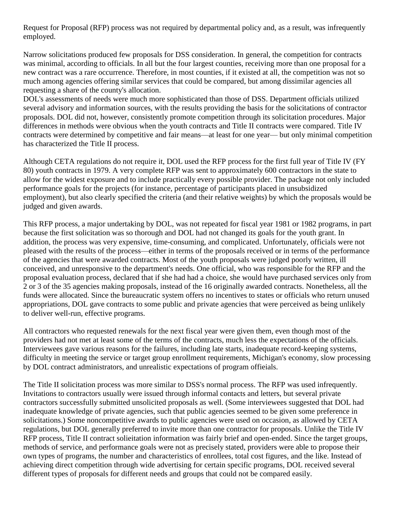Request for Proposal (RFP) process was not required by departmental policy and, as a result, was infrequently employed.

Narrow solicitations produced few proposals for DSS consideration. In general, the competition for contracts was minimal, according to officials. In all but the four largest counties, receiving more than one proposal for a new contract was a rare occurrence. Therefore, in most counties, if it existed at all, the competition was not so much among agencies offering similar services that could be compared, but among dissimilar agencies all requesting a share of the county's allocation.

DOL's assessments of needs were much more sophisticated than those of DSS. Department officials utilized several advisory and information sources, with the results providing the basis for the solicitations of contractor proposals. DOL did not, however, consistently promote competition through its solicitation procedures. Major differences in methods were obvious when the youth contracts and Title II contracts were compared. Title IV contracts were determined by competitive and fair means—at least for one year— but only minimal competition has characterized the Title II process.

Although CETA regulations do not require it, DOL used the RFP process for the first full year of Title IV (FY 80) youth contracts in 1979. A very complete RFP was sent to approximately 600 contractors in the state to allow for the widest exposure and to include practically every possible provider. The package not only included performance goals for the projects (for instance, percentage of participants placed in unsubsidized employment), but also clearly specified the criteria (and their relative weights) by which the proposals would be judged and given awards.

This RFP process, a major undertaking by DOL, was not repeated for fiscal year 1981 or 1982 programs, in part because the first solicitation was so thorough and DOL had not changed its goals for the youth grant. In addition, the process was very expensive, time-consuming, and complicated. Unfortunately, officials were not pleased with the results of the process—either in terms of the proposals received or in terms of the performance of the agencies that were awarded contracts. Most of the youth proposals were judged poorly written, ill conceived, and unresponsive to the department's needs. One official, who was responsible for the RFP and the proposal evaluation process, declared that if she had had a choice, she would have purchased services only from 2 or 3 of the 35 agencies making proposals, instead of the 16 originally awarded contracts. Nonetheless, all the funds were allocated. Since the bureaucratic system offers no incentives to states or officials who return unused appropriations, DOL gave contracts to some public and private agencies that were perceived as being unlikely to deliver well-run, effective programs.

All contractors who requested renewals for the next fiscal year were given them, even though most of the providers had not met at least some of the terms of the contracts, much less the expectations of the officials. Interviewees gave various reasons for the failures, including late starts, inadequate record-keeping systems, difficulty in meeting the service or target group enrollment requirements, Michigan's economy, slow processing by DOL contract administrators, and unrealistic expectations of program offieials.

The Title II solicitation process was more similar to DSS's normal process. The RFP was used infrequently. Invitations to contractors usually were issued through informal contacts and letters, but several private contractors successfully submitted unsolicited proposals as well. (Some interviewees suggested that DOL had inadequate knowledge of private agencies, such that public agencies seemed to be given some preference in solicitations.) Some noncompetitive awards to public agencies were used on occasion, as allowed by CETA regulations, but DOL generally preferred to invite more than one contractor for proposals. Unlike the Title IV RFP process, Title II contract solieitation information was fairly brief and open-ended. Since the target groups, methods of service, and performance goals were not as precisely stated, providers were able to propose their own types of programs, the number and characteristics of enrollees, total cost figures, and the like. Instead of achieving direct competition through wide advertising for certain specific programs, DOL received several different types of proposals for different needs and groups that could not be compared easily.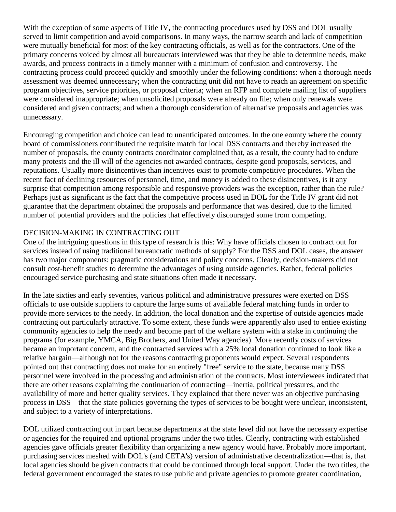With the exception of some aspects of Title IV, the contracting procedures used by DSS and DOL usually served to limit competition and avoid comparisons. In many ways, the narrow search and lack of competition were mutually beneficial for most of the key contracting officials, as well as for the contractors. One of the primary concerns voiced by almost all bureaucrats interviewed was that they be able to determine needs, make awards, and process contracts in a timely manner with a minimum of confusion and controversy. The contracting process could proceed quickly and smoothly under the following conditions: when a thorough needs assessment was deemed unnecessary; when the contracting unit did not have to reach an agreement on specific program objectives, service priorities, or proposal criteria; when an RFP and complete mailing list of suppliers were considered inappropriate; when unsolicited proposals were already on file; when only renewals were considered and given contracts; and when a thorough consideration of alternative proposals and agencies was unnecessary.

Encouraging competition and choice can lead to unanticipated outcomes. In the one eounty where the county board of commissioners contributed the requisite match for local DSS contracts and thereby increased the number of proposals, the county eontracts coordinator complained that, as a result, the county had to endure many protests and the ill will of the agencies not awarded contracts, despite good proposals, services, and reputations. Usually more disincentives than incentives exist to promote competitive procedures. When the recent fact of declining resources of personnel, time, and money is added to these disincentives, is it any surprise that competition among responsible and responsive providers was the exception, rather than the rule? Perhaps just as significant is the fact that the competitive process used in DOL for the Title IV grant did not guarantee that the department obtained the proposals and performance that was desired, due to the limited number of potential providers and the policies that effectively discouraged some from competing.

## DECISION-MAKING IN CONTRACTING OUT

One of the intriguing questions in this type of research is this: Why have officials chosen to contract out for services instead of using traditional bureaucratic methods of supply? For the DSS and DOL cases, the answer has two major components: pragmatic considerations and policy concerns. Clearly, decision-makers did not consult cost-benefit studies to determine the advantages of using outside agencies. Rather, federal policies encouraged service purchasing and state situations often made it necessary.

In the late sixties and early seventies, various political and administrative pressures were exerted on DSS officials to use outside suppliers to capture the large sums of available federal matching funds in order to provide more services to the needy. In addition, the local donation and the expertise of outside agencies made contracting out particularly attractive. To some extent, these funds were apparently also used to entiee existing community agencies to help the needy and become part of the welfare system with a stake in continuing the programs (for example, YMCA, Big Brothers, and United Way agencies). More recently costs of services became an important concern, and the contracted services with a 25% local donation continued to look like a relative bargain—although not for the reasons contracting proponents would expect. Several respondents pointed out that contracting does not make for an entirely "free" service to the state, because many DSS personnel were involved in the processing and administration of the contracts. Most interviewees indicated that there are other reasons explaining the continuation of contracting—inertia, political pressures, and the availability of more and better quality services. They explained that there never was an objective purchasing process in DSS—that the state policies governing the types of services to be bought were unclear, inconsistent, and subject to a variety of interpretations.

DOL utilized contracting out in part because departments at the state level did not have the necessary expertise or agencies for the required and optional programs under the two titles. Clearly, contracting with established agencies gave officials greater flexibility than organizing a new agency would have. Probably more important, purchasing services meshed with DOL's (and CETA's) version of administrative decentralization—that is, that local agencies should be given contracts that could be continued through local support. Under the two titles, the federal government encouraged the states to use public and private agencies to promote greater coordination,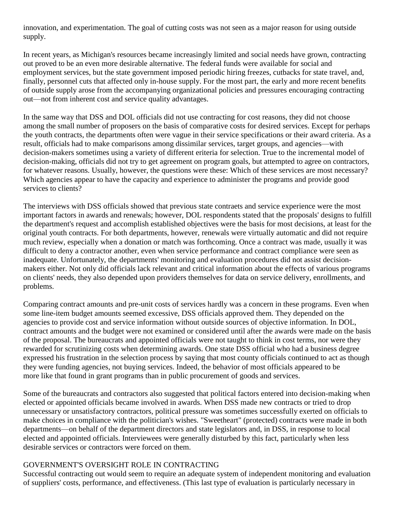innovation, and experimentation. The goal of cutting costs was not seen as a major reason for using outside supply.

In recent years, as Michigan's resources became increasingly limited and social needs have grown, contracting out proved to be an even more desirable alternative. The federal funds were available for social and employment services, but the state government imposed periodic hiring freezes, cutbacks for state travel, and, finally, personnel cuts that affected only in-house supply. For the most part, the early and more recent benefits of outside supply arose from the accompanying organizational policies and pressures encouraging contracting out—not from inherent cost and service quality advantages.

In the same way that DSS and DOL officials did not use contracting for cost reasons, they did not choose among the small number of proposers on the basis of comparative costs for desired services. Except for perhaps the youth contracts, the departments often were vague in their service specifications or their award criteria. As a result, officials had to make comparisons among dissimilar services, target groups, and agencies—with decision-makers sometimes using a variety of different eriteria for selection. True to the incremental model of decision-making, officials did not try to get agreement on program goals, but attempted to agree on contractors, for whatever reasons. Usually, however, the questions were these: Which of these services are most necessary? Which agencies appear to have the capacity and experience to administer the programs and provide good services to clients?

The interviews with DSS officials showed that previous state contraets and service experience were the most important factors in awards and renewals; however, DOL respondents stated that the proposals' designs to fulfill the department's request and accomplish established objectives were the basis for most decisions, at least for the original youth contracts. For both departments, however, renewals were virtually automatic and did not require much review, especially when a donation or match was forthcoming. Once a contract was made, usually it was difficult to deny a contractor another, even when service performance and contract compliance were seen as inadequate. Unfortunately, the departments' monitoring and evaluation procedures did not assist decisionmakers either. Not only did officials lack relevant and critical information about the effects of various programs on clients' needs, they also depended upon providers themselves for data on service delivery, enrollments, and problems.

Comparing contract amounts and pre-unit costs of services hardly was a concern in these programs. Even when some line-item budget amounts seemed excessive, DSS officials approved them. They depended on the agencies to provide cost and service information without outside sources of objective information. In DOL, contract amounts and the budget were not examined or considered until after the awards were made on the basis of the proposal. The bureaucrats and appointed officials were not taught to think in cost terms, nor were they rewarded for scrutinizing costs when determining awards. One state DSS official who had a business degree expressed his frustration in the selection process by saying that most county officials continued to act as though they were funding agencies, not buying services. Indeed, the behavior of most officials appeared to be more like that found in grant programs than in public procurement of goods and services.

Some of the bureaucrats and contractors also suggested that political factors entered into decision-making when elected or appointed officials became involved in awards. When DSS made new contracts or tried to drop unnecessary or unsatisfactory contractors, political pressure was sometimes successfully exerted on officials to make choices in compliance with the politician's wishes. "Sweetheart" (protected) contracts were made in both departments—on behalf of the department directors and state legislators and, in DSS, in response to local elected and appointed officials. Interviewees were generally disturbed by this fact, particularly when less desirable services or contractors were forced on them.

## GOVERNMENT'S OVERSIGHT ROLE IN CONTRACTING

Successful contracting out would seem to require an adequate system of independent monitoring and evaluation of suppliers' costs, performance, and effectiveness. (This last type of evaluation is particularly necessary in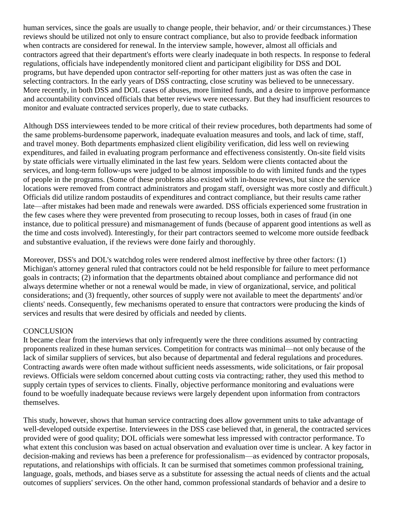human services, since the goals are usually to change people, their behavior, and/ or their circumstances.) These reviews should be utilized not only to ensure contract compliance, but also to provide feedback information when contracts are considered for renewal. In the interview sample, however, almost all officials and contractors agreed that their department's efforts were clearly inadequate in both respects. In response to federal regulations, officials have independently monitored client and participant eligibility for DSS and DOL programs, but have depended upon contractor self-reporting for other matters just as was often the case in selecting contractors. In the early years of DSS contracting, close scrutiny was believed to be unnecessary. More recently, in both DSS and DOL cases of abuses, more limited funds, and a desire to improve performance and accountability convinced officials that better reviews were necessary. But they had insufficient resources to monitor and evaluate contracted services properly, due to state cutbacks.

Although DSS interviewees tended to be more critical of their review procedures, both departments had some of the same problems-burdensome paperwork, inadequate evaluation measures and tools, and lack of time, staff, and travel money. Both departments emphasized client eligibility verification, did less well on reviewing expenditures, and failed in evaluating program performance and effectiveness consistently. On-site field visits by state officials were virtually eliminated in the last few years. Seldom were clients contacted about the services, and long-term follow-ups were judged to be almost impossible to do with limited funds and the types of people in the programs. (Some of these problems also existed with in-house reviews, but since the service locations were removed from contract administrators and progam staff, oversight was more costly and difficult.) Officials did utilize random postaudits of expenditures and contract compliance, but their results came rather late—after mistakes had been made and renewals were awarded. DSS officials experienced some frustration in the few cases where they were prevented from prosecuting to recoup losses, both in cases of fraud (in one instance, due to political pressure) and mismanagement of funds (because of apparent good intentions as well as the time and costs involved). Interestingly, for their part contractors seemed to welcome more outside feedback and substantive evaluation, if the reviews were done fairly and thoroughly.

Moreover, DSS's and DOL's watchdog roles were rendered almost ineffective by three other factors: (1) Michigan's attorney general ruled that contractors could not be held responsible for failure to meet performance goals in contracts; (2) information that the departments obtained about compliance and performance did not always determine whether or not a renewal would be made, in view of organizational, service, and political considerations; and (3) frequently, other sources of supply were not available to meet the departments' and/or clients' needs. Consequently, few mechanisms operated to ensure that contractors were producing the kinds of services and results that were desired by officials and needed by clients.

#### **CONCLUSION**

It became clear from the interviews that only infrequently were the three conditions assumed by contracting proponents realized in these human services. Competition for contracts was minimal—not only because of the lack of similar suppliers of services, but also because of departmental and federal regulations and procedures. Contracting awards were often made without sufficient needs assessments, wide solicitations, or fair proposal reviews. Officials were seldom concerned about cutting costs via contracting; rather, they used this method to supply certain types of services to clients. Finally, objective performance monitoring and evaluations were found to be woefully inadequate because reviews were largely dependent upon information from contractors themselves.

This study, however, shows that human service contracting does allow government units to take advantage of well-developed outside expertise. Interviewees in the DSS case believed that, in general, the contracted services provided were of good quality; DOL officials were somewhat less impressed with contractor performance. To what extent this conclusion was based on actual observation and evaluation over time is unclear. A key factor in decision-making and reviews has been a preference for professionalism—as evidenced by contractor proposals, reputations, and relationships with officials. It can be surmised that sometimes common professional training, language, goals, methods, and biases serve as a substitute for assessing the actual needs of clients and the actual outcomes of suppliers' services. On the other hand, common professional standards of behavior and a desire to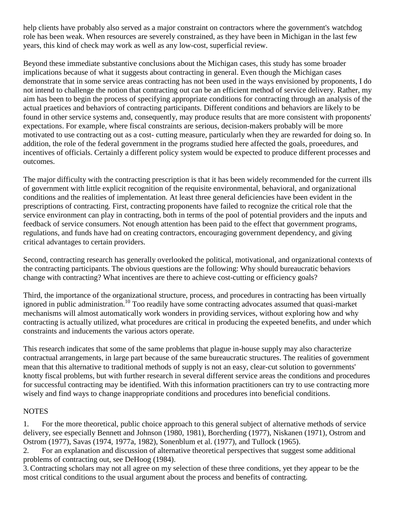help clients have probably also served as a major constraint on contractors where the government's watchdog role has been weak. When resources are severely constrained, as they have been in Michigan in the last few years, this kind of check may work as well as any low-cost, superficial review.

Beyond these immediate substantive conclusions about the Michigan cases, this study has some broader implications because of what it suggests about contracting in general. Even though the Michigan cases demonstrate that in some service areas contracting has not been used in the ways envisioned by proponents, I do not intend to challenge the notion that contracting out can be an efficient method of service delivery. Rather, my aim has been to begin the process of specifying appropriate conditions for contracting through an analysis of the actual praetices and behaviors of contracting participants. Different conditions and behaviors are likely to be found in other service systems and, consequently, may produce results that are more consistent with proponents' expectations. For example, where fiscal constraints are serious, decision-makers probably will be more motivated to use contracting out as a cost- cutting measure, particularly when they are rewarded for doing so. In addition, the role of the federal government in the programs studied here affected the goals, proeedures, and incentives of officials. Certainly a different policy system would be expected to produce different processes and outcomes.

The major difficulty with the contracting prescription is that it has been widely recommended for the current ills of government with little explicit recognition of the requisite environmental, behavioral, and organizational conditions and the realities of implementation. At least three general deficiencies have been evident in the prescriptions of contracting. First, contracting proponents have failed to recognize the critical role that the service environment can play in contracting, both in terms of the pool of potential providers and the inputs and feedback of service consumers. Not enough attention has been paid to the effect that government programs, regulations, and funds have had on creating contractors, encouraging government dependency, and giving critical advantages to certain providers.

Second, contracting research has generally overlooked the political, motivational, and organizational contexts of the contracting participants. The obvious questions are the following: Why should bureaucratic behaviors change with contracting? What incentives are there to achieve cost-cutting or efficiency goals?

Third, the importance of the organizational structure, process, and procedures in contracting has been virtually ignored in public administration.<sup>10</sup> Too readily have some contracting advocates assumed that quasi-market mechanisms will almost automatically work wonders in providing services, without exploring how and why contracting is actually utilized, what procedures are critical in producing the expeeted benefits, and under which constraints and inducements the various actors operate.

This research indicates that some of the same problems that plague in-house supply may also characterize contractual arrangements, in large part because of the same bureaucratic structures. The realities of government mean that this alternative to traditional methods of supply is not an easy, clear-cut solution to governments' knotty fiscal problems, but with further research in several different service areas the conditions and procedures for successful contracting may be identified. With this information practitioners can try to use contracting more wisely and find ways to change inappropriate conditions and procedures into beneficial conditions.

## **NOTES**

1. For the more theoretical, public choice approach to this general subject of alternative methods of service delivery, see especially Bennett and Johnson (1980, 1981), Borcherding (1977), Niskanen (1971), Ostrom and Ostrom (1977), Savas (1974, 1977a, 1982), Sonenblum et al. (1977), and Tullock (1965).

2. For an explanation and discussion of alternative theoretical perspectives that suggest some additional problems of contracting out, see DeHoog (1984).

3. Contracting scholars may not all agree on my selection of these three conditions, yet they appear to be the most critical conditions to the usual argument about the process and benefits of contracting.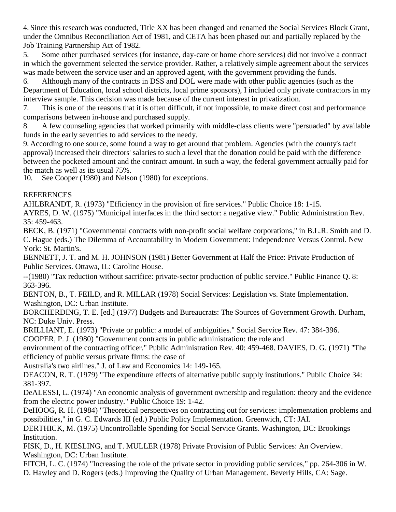4. Since this research was conducted, Title XX has been changed and renamed the Social Services Block Grant, under the Omnibus Reconciliation Act of 1981, and CETA has been phased out and partially replaced by the Job Training Partnership Act of 1982.

5. Some other purchased services (for instance, day-care or home chore services) did not involve a contract in which the government selected the service provider. Rather, a relatively simple agreement about the services was made between the service user and an approved agent, with the government providing the funds.

6. Although many of the contracts in DSS and DOL were made with other public agencies (such as the Department of Education, local school districts, local prime sponsors), I included only private contractors in my interview sample. This decision was made because of the current interest in privatization.

7. This is one of the reasons that it is often difficult, if not impossible, to make direct cost and performance comparisons between in-house and purchased supply.

8. A few counseling agencies that worked primarily with middle-class clients were "persuaded" by available funds in the early seventies to add services to the needy.

9. According to one source, some found a way to get around that problem. Agencies (with the county's tacit approval) increased their directors' salaries to such a level that the donation could be paid with the difference between the pocketed amount and the contract amount. In such a way, the federal government actually paid for the match as well as its usual 75%.

10. See Cooper (1980) and Nelson (1980) for exceptions.

# REFERENCES

AHLBRANDT, R. (1973) "Efficiency in the provision of fire services." Public Choice 18: 1-15.

AYRES, D. W. (1975) "Municipal interfaces in the third sector: a negative view." Public Administration Rev. 35: 459-463.

BECK, B. (1971) "Governmental contracts with non-profit social welfare corporations," in B.L.R. Smith and D. C. Hague (eds.) The Dilemma of Accountability in Modern Government: Independence Versus Control. New York: St. Martin's.

BENNETT, J. T. and M. H. JOHNSON (1981) Better Government at Half the Price: Private Production of Public Services. Ottawa, IL: Caroline House.

--(1980) "Tax reduction without sacrifice: private-sector production of public service." Public Finance Q. 8: 363-396.

BENTON, B., T. FEILD, and R. MILLAR (1978) Social Services: Legislation vs. State Implementation. Washington, DC: Urban Institute.

BORCHERDING, T. E. [ed.] (1977) Budgets and Bureaucrats: The Sources of Government Growth. Durham, NC: Duke Univ. Press.

BRILLIANT, E. (1973) "Private or public: a model of ambiguities." Social Service Rev. 47: 384-396.

COOPER, P. J. (1980) "Government contracts in public administration: the role and

environment of the contracting officer." Public Administration Rev. 40: 459-468. DAVIES, D. G. (1971) "The efficiency of public versus private fIrms: the case of

Australia's two airlines." J. of Law and Economics 14: 149-165.

DEACON, R. T. (1979) "The expenditure effects of alternative public supply institutions." Public Choice 34: 381-397.

DeALESSI, L. (1974) "An economic analysis of government ownership and regulation: theory and the evidence from the electric power industry." Public Choice 19: 1-42.

DeHOOG, R. H. (1984) "Theoretical perspectives on contracting out for services: implementation problems and possibilities," in G. C. Edwards III (ed.) Public Policy Implementation. Greenwich, CT: JAI.

DERTHICK, M. (1975) Uncontrollable Spending for Social Service Grants. Washington, DC: Brookings Institution.

FISK, D., H. KIESLING, and T. MULLER (1978) Private Provision of Public Services: An Overview. Washington, DC: Urban Institute.

FITCH, L. C. (1974) "Increasing the role of the private sector in providing public services," pp. 264-306 in W. D. Hawley and D. Rogers (eds.) Improving the Quality of Urban Management. Beverly Hills, CA: Sage.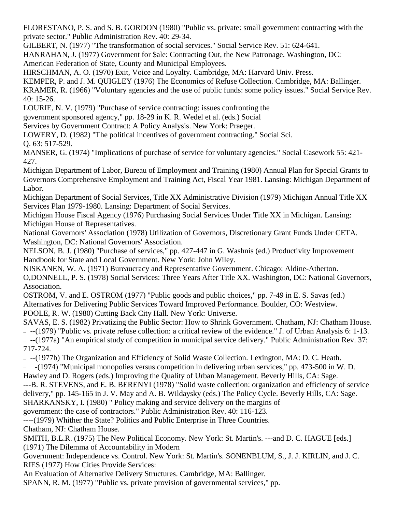FLORESTANO, P. S. and S. B. GORDON (1980) "Public vs. private: small government contracting with the private sector." Public Administration Rev. 40: 29-34.

GILBERT, N. (1977) "The transformation of social services." Social Service Rev. 51: 624-641.

HANRAHAN, J. (1977) Government for \$ale: Contracting Out, the New Patronage. Washington, DC:

American Federation of State, County and Municipal Employees.

HIRSCHMAN, A. O. (1970) Exit, Voice and Loyalty. Cambridge, MA: Harvard Univ. Press.

KEMPER, P. and J. M. QUIGLEY (1976) The Economics of Refuse Collection. Cambridge, MA: Ballinger.

KRAMER, R. (1966) "Voluntary agencies and the use of public funds: some policy issues." Social Service Rev. 40: 15-26.

LOURIE, N. V. (1979) "Purchase of service contracting: issues confronting the

government sponsored agency," pp. 18-29 in K. R. Wedel et al. (eds.) Social

Services by Government Contract: A Policy Analysis. New York: Praeger.

LOWERY, D. (1982) "The political incentives of government contracting." Social Sci.

Q. 63: 517-529.

MANSER, G. (1974) "Implications of purchase of service for voluntary agencies." Social Casework 55: 421- 427.

Michigan Department of Labor, Bureau of Employment and Training (1980) Annual Plan for Special Grants to Governors Comprehensive Employment and Training Act, Fiscal Year 1981. Lansing: Michigan Department of Labor.

Michigan Department of Social Services, Title XX Administrative Division (1979) Michigan Annual Title XX Services Plan 1979-1980. Lansing: Department of Social Services.

Michigan House Fiscal Agency (1976) Purchasing Social Services Under Title XX in Michigan. Lansing: Michigan House of Representatives.

National Governors' Association (1978) Utilization of Governors, Discretionary Grant Funds Under CETA. Washington, DC: National Governors' Association.

NELSON, B. J. (1980) "Purchase of services," pp. 427-447 in G. Washnis (ed.) Productivity Improvement Handbook for State and Local Government. New York: John Wiley.

NISKANEN, W. A. (1971) Bureaucracy and Representative Government. Chicago: Aldine-Atherton. O,DONNELL, P. S. (1978) Social Services: Three Years After Title XX. Washington, DC: National Governors, Association.

OSTROM, V. and E. OSTROM (1977) "Public goods and public choices," pp. 7-49 in E. S. Savas (ed.) Alternatives for Delivering Public Services Toward Improved Performance. Boulder, CO: Westview. POOLE, R. W. (1980) Cutting Back City Hall. New York: Universe.

SAVAS, E. S. (1982) Privatizing the Public Sector: How to Shrink Government. Chatham, NJ: Chatham House. --(1979) "Public vs. private refuse collection: a critical review of the evidence." J. of Urban Analysis 6: 1-13. --(1977a) "An empirical study of competition in municipal service delivery." Public Administration Rev. 37: 717-724.

--(1977b) The Organization and Efficiency of Solid Waste Collection. Lexington, MA: D. C. Heath.

-(1974) "Municipal monopolies versus competition in delivering urban services," pp. 473-500 in W. D.

Hawley and D. Rogers (eds.) Improving the Quality of Urban Management. Beverly Hills, CA: Sage.

---B. R. STEVENS, and E. B. BERENYI (1978) "Solid waste collection: organization and efficiency of service delivery," pp. 145-165 in J. V. May and A. B. Wildaysky (eds.) The Policy Cycle. Beverly Hills, CA: Sage. SHARKANSKY, I. (1980) " Policy making and service delivery on the margins of

government: the case of contractors." Public Administration Rev. 40: 116-123.

----(1979) Whither the State? Politics and Public Enterprise in Three Countries.

Chatham, NJ: Chatham House.

SMITH, B.L.R. (1975) The New Political Economy. New York: St. Martin's. ---and D. C. HAGUE [eds.] (1971) The Dilemma of Accountability in Modern

Government: Independence vs. Control. New York: St. Martin's. SONENBLUM, S., J. J. KIRLIN, and J. C. RIES (1977) How Cities Provide Services:

An Evaluation of Alternative Delivery Structures. Cambridge, MA: Ballinger.

SPANN, R. M. (1977) "Public vs. private provision of governmental services," pp.